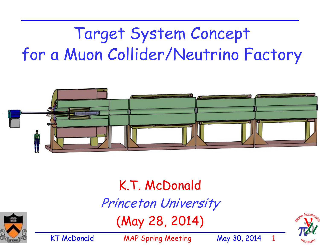# Target System Concept for a Muon Collider/Neutrino Factory



## K.T. McDonald Princeton University (May 28, 2014)



KT McDonald MAP Spring Meeting May 30, 2014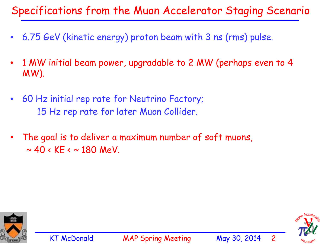### Specifications from the Muon Accelerator Staging Scenario

- $\bullet$ 6.75 GeV (kinetic energy) proton beam with 3 ns (rms) pulse.
- • 1 MW initial beam power, upgradable to 2 MW (perhaps even to 4 MW).
- $\bullet$  60 Hz initial rep rate for Neutrino Factory; 15 Hz rep rate for later Muon Collider.
- • The goal is to deliver a maximum number of soft muons,  $\sim$  40 < KE <  $\sim$  180 MeV.



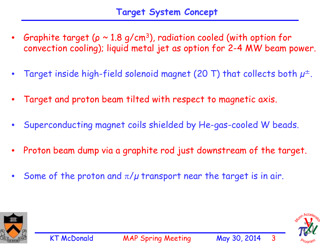- •Graphite target ( $\rho \sim 1.8$  g/cm<sup>3</sup>), radiation cooled (with option for convection cooling); liquid metal jet as option for 2-4 MW beam power.
- •Target inside high-field solenoid magnet (20 T) that collects both  $\mu^{\pm}$ .
- •Target and proton beam tilted with respect to magnetic axis.
- •Superconducting magnet coils shielded by He-gas-cooled W beads.
- •Proton beam dump via a graphite rod just downstream of the target.
- •Some of the proton and  $\pi/\mu$  transport near the target is in air.



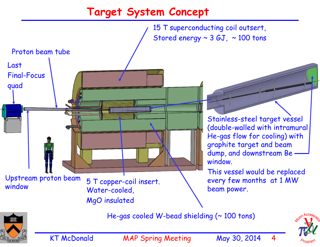#### **Target System Concept**

Stainless-steel target vessel (double-walled with intramural He-gas flow for cooling) with graphite target and beam dump, and downstream Be window. This vessel would be replaced every few months at 1 MW beam power. 15 T superconducting coil outsert, Stored energy  $\sim$  3 GJ,  $\sim$  100 tons 5 T copper-coil insert. Water-cooled, MgO insulated He-gas cooled W-bead shielding  $($   $\sim$  100 tons) Proton beam tube Upstream proton beam window Last Final-Focus quad

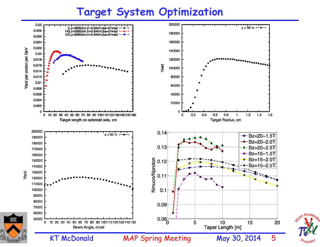#### **Target System Optimization**



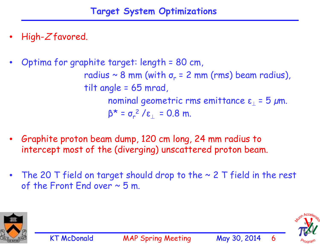- •High-Z favored.
- • Optima for graphite target: length = 80 cm, radius ~ 8 mm (with  $\sigma_r$  = 2 mm (rms) beam radius), tilt angle = 65 mrad, nominal geometric rms emittance  $\bm{\epsilon}_\perp$  = 5 μm.  $\beta^{\star}$  = σ $_{r}$ <sup>2</sup> /ε $_{\perp}$  = 0.8 m.
- • Graphite proton beam dump, 120 cm long, 24 mm radius to intercept most of the (diverging) unscattered proton beam.
- •The 20 T field on target should drop to the  $\sim$  2 T field in the rest of the Front End over  $\sim$  5 m.



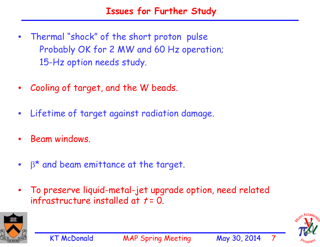- $\bullet$  Thermal "shock" of the short proton pulse Probably OK for 2 MW and 60 Hz operation; 15-Hz option needs study.
- $\bullet$ Cooling of target, and the W beads.
- $\bullet$ Lifetime of target against radiation damage.
- •Beam windows.
- $\bullet$  $\beta^*$  and beam emittance at the target.
- • To preserve liquid-metal-jet upgrade option, need related infrastructure installed at  $t = 0$ .



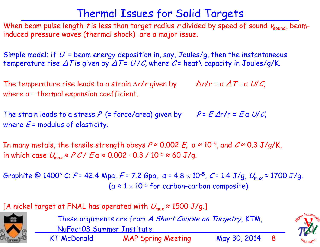### Thermal Issues for Solid Targets

When beam pulse length t is less than target radius r divided by speed of sound  $v_{sound}$ , beaminduced pressure waves (thermal shock) are a major issue.

Simple model: if  $U$  = beam energy deposition in, say, Joules/g, then the instantaneous temperature rise  $\Delta T$  is given by  $\Delta T = U/C$ , where  $C =$  heat \capacity in Joules/g/K.

The temperature rise leads to a strain  $\Delta r/r$  given by  $\Delta r/r = a \Delta T = a \ U/C$ , where <sup>α</sup> = thermal expansion coefficient.

The strain leads to a stress P (= force/area) given by  $P = E \Delta r/r = E a U/C$ , where  $E =$  modulus of elasticity.

In many metals, the tensile strength obeys  $P \approx 0.002$   $E$ ,  $a \approx 10^{-5}$ , and  $C \approx 0.3$  J/g/K, in which case  $U_{\text{max}} \approx P C / E a \approx 0.002 \cdot 0.3 / 10^{-5} \approx 60 \text{ J/q}.$ 

Graphite @ 1400° C: P = 42.4 Mpa, E = 7.2 Gpa, a = 4.8  $\times$  10<sup>-5</sup>, C = 1.4 J/g,  $U_{\text{max}} \approx$  1700 J/g.  $(a \approx 1 \times 10^{-5}$  for carbon-carbon composite)

[A nickel target at FNAL has operated with  $U_{\text{max}} \approx 1500 \text{ J/g.}$ ]



KT McDonald MAP Spring Meeting May 30, 2014 8 These arguments are from A Short Course on Targetry, KTM, NuFact03 Summer Institute